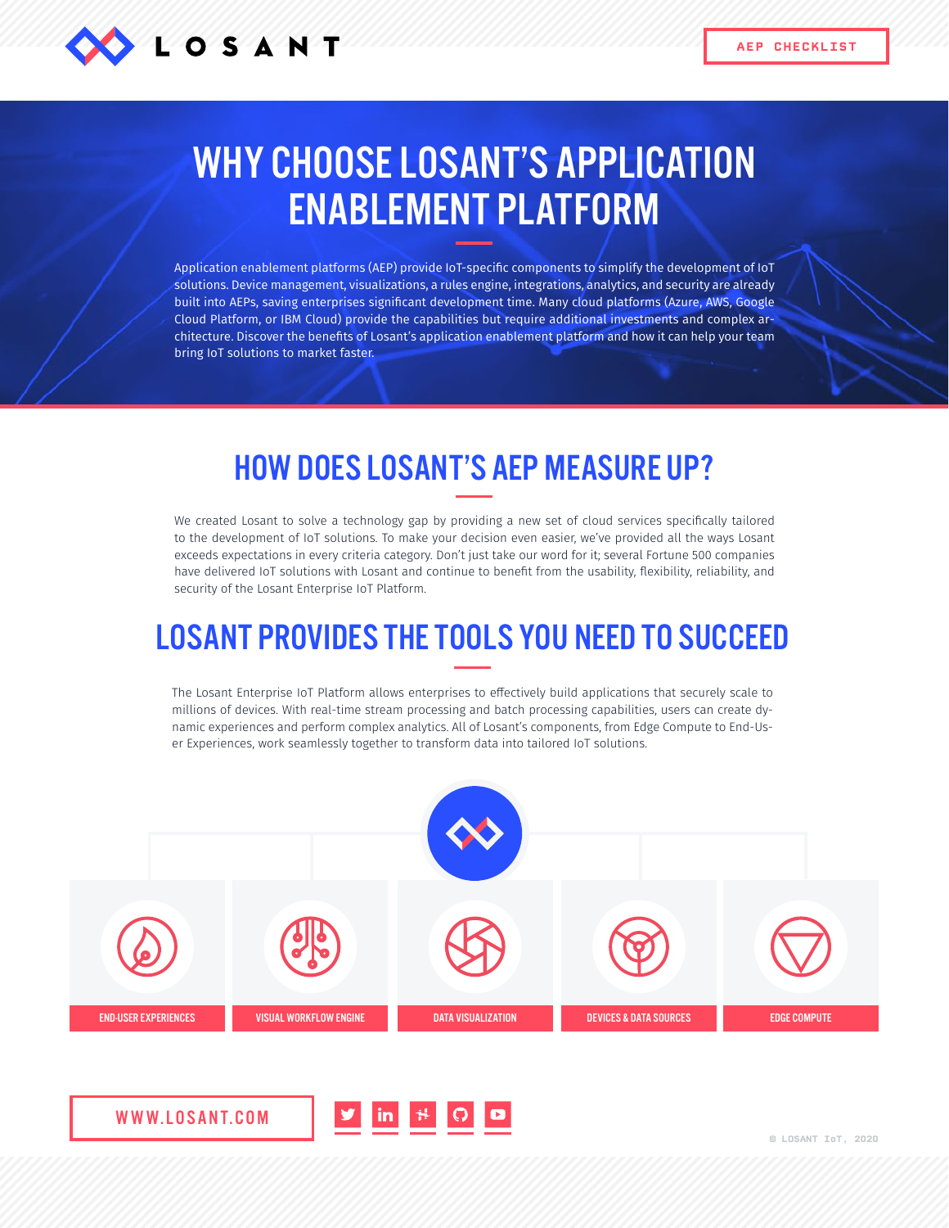

## WHY CHOOSE LOSANT'S APPLICATION ENABLEMENT PLATFORM

Application enablement platforms (AEP) provide IoT-specific components to simplify the development of IoT solutions. Device management, visualizations, a rules engine, integrations, analytics, and security are already built into AEPs, saving enterprises significant development time. Many cloud platforms (Azure, AWS, Google Cloud Platform, or IBM Cloud) provide the capabilities but require additional investments and complex architecture. Discover the benefits of Losant's application enablement platform and how it can help your team bring IoT solutions to market faster.

## HOW DOES LOSANT'S AEP MEASURE UP?

We created Losant to solve a technology gap by providing a new set of cloud services specifically tailored to the development of IoT solutions. To make your decision even easier, we've provided all the ways Losant exceeds expectations in every criteria category. Don't just take our word for it; several Fortune 500 companies have delivered IoT solutions with Losant and continue to benefit from the usability, flexibility, reliability, and security of the Losant Enterprise IoT Platform.

## LOSANT PROVIDES THE TOOLS YOU NEED TO SUCCEED

The Losant Enterprise IoT Platform allows enterprises to effectively build applications that securely scale to millions of devices. With real-time stream processing and batch processing capabilities, users can create dynamic experiences and perform complex analytics. All of Losant's components, from Edge Compute to End-User Experiences, work seamlessly together to transform data into tailored IoT solutions.



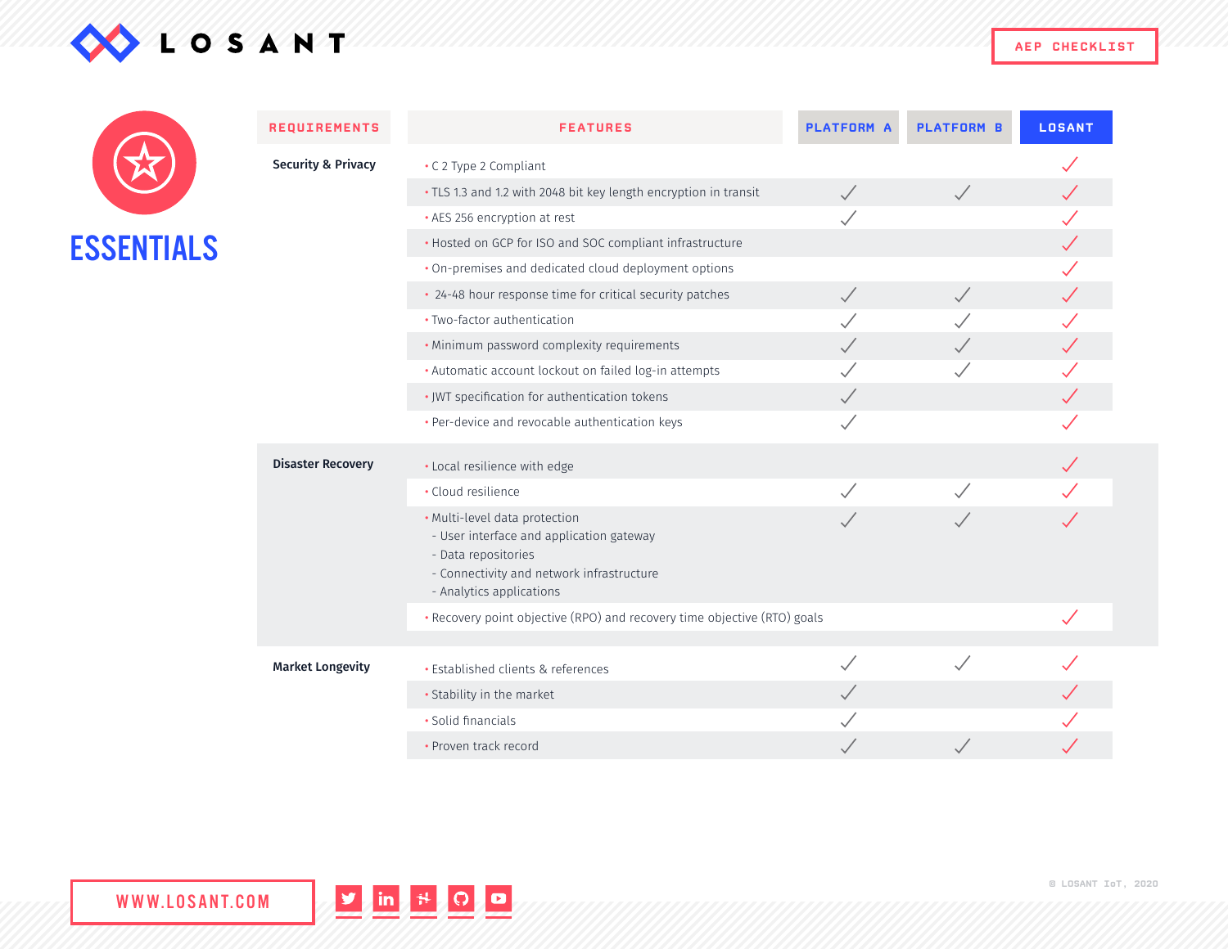

**AEP CHECKLIST**

|                   | <b>REQUIREMENTS</b>           | <b>FEATURES</b>                                                                                                                                                           | <b>PLATFORM A</b> | <b>PLATFORM B</b> | <b>LOSANT</b> |
|-------------------|-------------------------------|---------------------------------------------------------------------------------------------------------------------------------------------------------------------------|-------------------|-------------------|---------------|
|                   | <b>Security &amp; Privacy</b> | • C 2 Type 2 Compliant                                                                                                                                                    |                   |                   |               |
|                   |                               | · TLS 1.3 and 1.2 with 2048 bit key length encryption in transit                                                                                                          | $\checkmark$      |                   |               |
|                   |                               | • AES 256 encryption at rest                                                                                                                                              |                   |                   |               |
| <b>ESSENTIALS</b> |                               | . Hosted on GCP for ISO and SOC compliant infrastructure                                                                                                                  |                   |                   |               |
|                   |                               | . On-premises and dedicated cloud deployment options                                                                                                                      |                   |                   |               |
|                   |                               | • 24-48 hour response time for critical security patches                                                                                                                  | $\checkmark$      |                   |               |
|                   |                               | · Two-factor authentication                                                                                                                                               |                   |                   |               |
|                   |                               | . Minimum password complexity requirements                                                                                                                                |                   |                   |               |
|                   |                               | · Automatic account lockout on failed log-in attempts                                                                                                                     |                   |                   |               |
|                   |                               | · JWT specification for authentication tokens                                                                                                                             | $\checkmark$      |                   |               |
|                   |                               | · Per-device and revocable authentication keys                                                                                                                            |                   |                   |               |
|                   | <b>Disaster Recovery</b>      | · Local resilience with edge                                                                                                                                              |                   |                   |               |
|                   |                               | · Cloud resilience                                                                                                                                                        |                   |                   |               |
|                   |                               | · Multi-level data protection<br>- User interface and application gateway<br>- Data repositories<br>- Connectivity and network infrastructure<br>- Analytics applications |                   |                   |               |
|                   |                               | . Recovery point objective (RPO) and recovery time objective (RTO) goals                                                                                                  |                   |                   |               |
|                   | <b>Market Longevity</b>       | · Established clients & references                                                                                                                                        |                   |                   |               |
|                   |                               | · Stability in the market                                                                                                                                                 |                   |                   |               |
|                   |                               | • Solid financials                                                                                                                                                        |                   |                   |               |
|                   |                               |                                                                                                                                                                           |                   |                   |               |

• Proven track record



 $\begin{array}{ccc} \sqrt{2} & \sqrt{2} & \sqrt{2} & \sqrt{2} & \sqrt{2} & \sqrt{2} & \sqrt{2} & \sqrt{2} & \sqrt{2} & \sqrt{2} & \sqrt{2} & \sqrt{2} & \sqrt{2} & \sqrt{2} & \sqrt{2} & \sqrt{2} & \sqrt{2} & \sqrt{2} & \sqrt{2} & \sqrt{2} & \sqrt{2} & \sqrt{2} & \sqrt{2} & \sqrt{2} & \sqrt{2} & \sqrt{2} & \sqrt{2} & \sqrt{2} & \sqrt{2} & \sqrt{2} & \sqrt{2} & \sqrt{2} & \sqrt{2} & \sqrt{2} & \sqrt{2} & \sqrt{$ 

 $\mathcal{S}$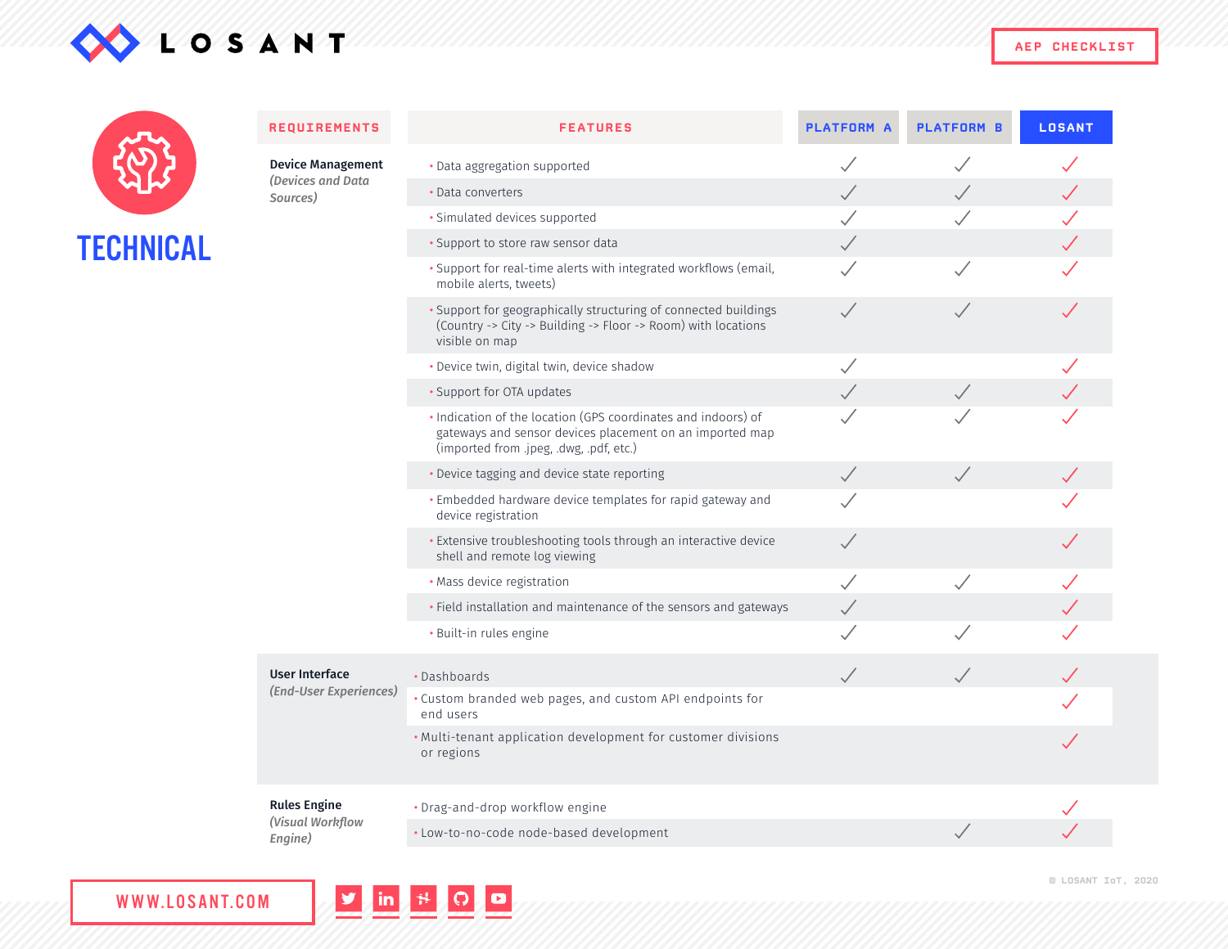

| TECHNICAL |
|-----------|

| <b>REQUIREMENTS</b>                                | <b>FEATURES</b>                                                                                                                                                      | <b>PLATFORM A</b>        | <b>PLATFORM B</b> | <b>LOSANT</b> |
|----------------------------------------------------|----------------------------------------------------------------------------------------------------------------------------------------------------------------------|--------------------------|-------------------|---------------|
| <b>Device Management</b>                           | · Data aggregation supported                                                                                                                                         | Š                        |                   |               |
| (Devices and Data<br>Sources)                      | • Data converters                                                                                                                                                    | $\checkmark$             |                   |               |
|                                                    | · Simulated devices supported                                                                                                                                        |                          |                   |               |
|                                                    | · Support to store raw sensor data                                                                                                                                   | $\checkmark$             |                   |               |
|                                                    | · Support for real-time alerts with integrated workflows (email,<br>mobile alerts, tweets)                                                                           |                          |                   |               |
|                                                    | • Support for geographically structuring of connected buildings<br>(Country -> City -> Building -> Floor -> Room) with locations<br>visible on map                   | $\checkmark$             |                   |               |
|                                                    | · Device twin, digital twin, device shadow                                                                                                                           | Š                        |                   |               |
|                                                    | • Support for OTA updates                                                                                                                                            | $\checkmark$             | $\sqrt{}$         |               |
|                                                    | . Indication of the location (GPS coordinates and indoors) of<br>gateways and sensor devices placement on an imported map<br>(imported from .jpeg, .dwg, .pdf, etc.) |                          |                   |               |
|                                                    | . Device tagging and device state reporting                                                                                                                          | $\checkmark$             |                   |               |
|                                                    | · Embedded hardware device templates for rapid gateway and<br>device registration                                                                                    |                          |                   |               |
|                                                    | • Extensive troubleshooting tools through an interactive device<br>shell and remote log viewing                                                                      | $\checkmark$             |                   |               |
|                                                    | · Mass device registration                                                                                                                                           | $\overline{\phantom{a}}$ |                   |               |
|                                                    | • Field installation and maintenance of the sensors and gateways                                                                                                     | $\checkmark$             |                   |               |
|                                                    | · Built-in rules engine                                                                                                                                              |                          |                   |               |
| <b>User Interface</b><br>(End-User Experiences)    | · Dashboards                                                                                                                                                         | $\checkmark$             |                   |               |
|                                                    | . Custom branded web pages, and custom API endpoints for<br>end users                                                                                                |                          |                   |               |
|                                                    | . Multi-tenant application development for customer divisions<br>or regions                                                                                          |                          |                   |               |
| <b>Rules Engine</b><br>(Visual Workflow<br>Engine) | • Drag-and-drop workflow engine                                                                                                                                      |                          |                   |               |
|                                                    | · Low-to-no-code node-based development                                                                                                                              |                          |                   |               |

V in H O D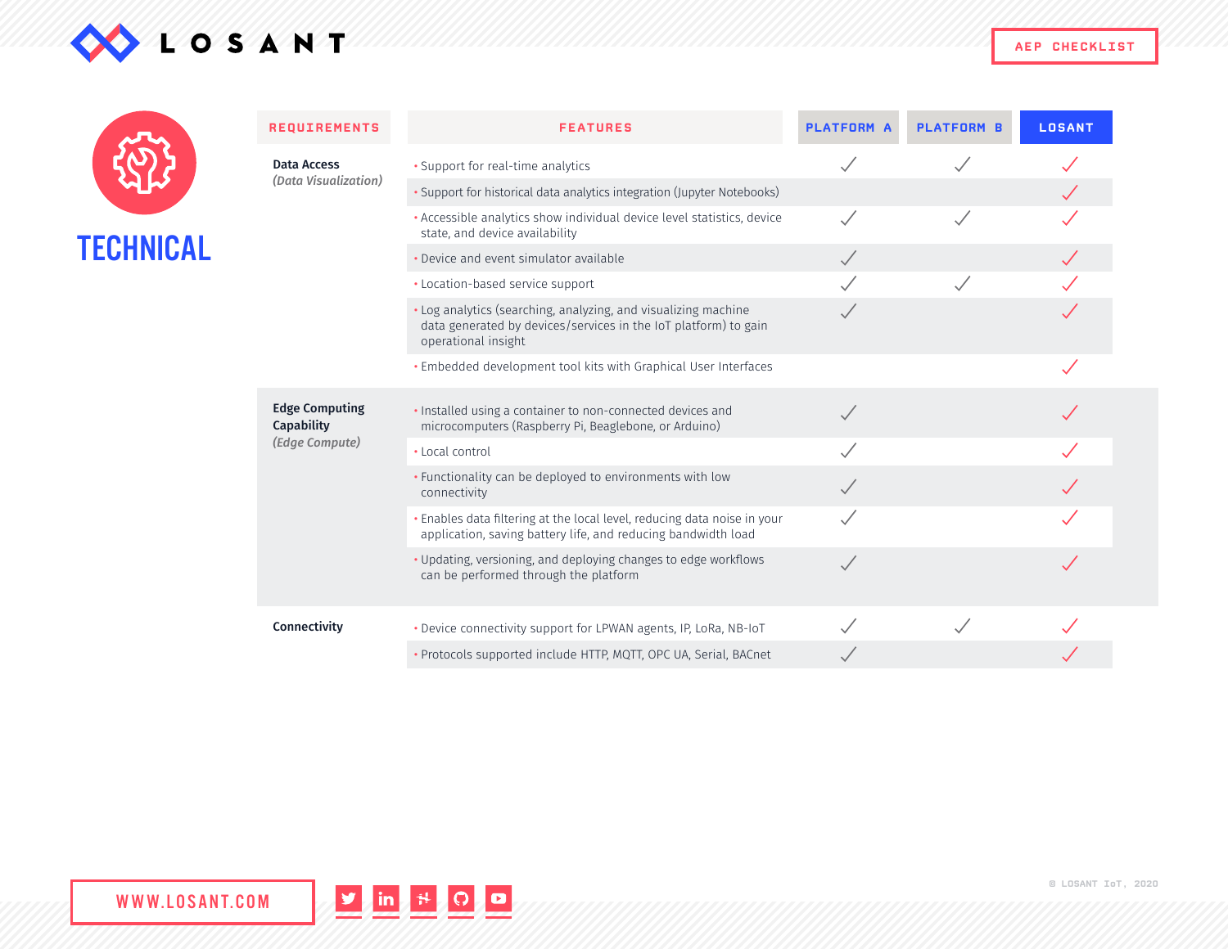



|           | <b>REQUIREMENTS</b>                 | <b>FEATURES</b>                                                                                                                                          | <b>PLATFORM A</b> | <b>PLATFORM B</b> | <b>LOSANT</b> |
|-----------|-------------------------------------|----------------------------------------------------------------------------------------------------------------------------------------------------------|-------------------|-------------------|---------------|
| TECHNICAL | <b>Data Access</b>                  | • Support for real-time analytics                                                                                                                        |                   |                   |               |
|           | (Data Visualization)                | · Support for historical data analytics integration (Jupyter Notebooks)                                                                                  |                   |                   |               |
|           |                                     | · Accessible analytics show individual device level statistics, device<br>state, and device availability                                                 |                   |                   |               |
|           |                                     | • Device and event simulator available                                                                                                                   | $\checkmark$      |                   |               |
|           |                                     | • Location-based service support                                                                                                                         |                   |                   |               |
|           |                                     | · Log analytics (searching, analyzing, and visualizing machine<br>data generated by devices/services in the IoT platform) to gain<br>operational insight |                   |                   |               |
|           |                                     | . Embedded development tool kits with Graphical User Interfaces                                                                                          |                   |                   |               |
|           | <b>Edge Computing</b><br>Capability | . Installed using a container to non-connected devices and<br>microcomputers (Raspberry Pi, Beaglebone, or Arduino)                                      |                   |                   |               |
|           | (Edge Compute)                      | • Local control                                                                                                                                          |                   |                   |               |
|           |                                     | • Functionality can be deployed to environments with low<br>connectivity                                                                                 |                   |                   |               |
|           |                                     | . Enables data filtering at the local level, reducing data noise in your<br>application, saving battery life, and reducing bandwidth load                |                   |                   |               |
|           |                                     | · Updating, versioning, and deploying changes to edge workflows<br>can be performed through the platform                                                 |                   |                   |               |
|           | Connectivity                        | . Device connectivity support for LPWAN agents, IP, LoRa, NB-IoT                                                                                         |                   |                   |               |
|           |                                     | · Protocols supported include HTTP, MQTT, OPC UA, Serial, BACnet                                                                                         |                   |                   |               |



**© LOSANT IoT, 2020**